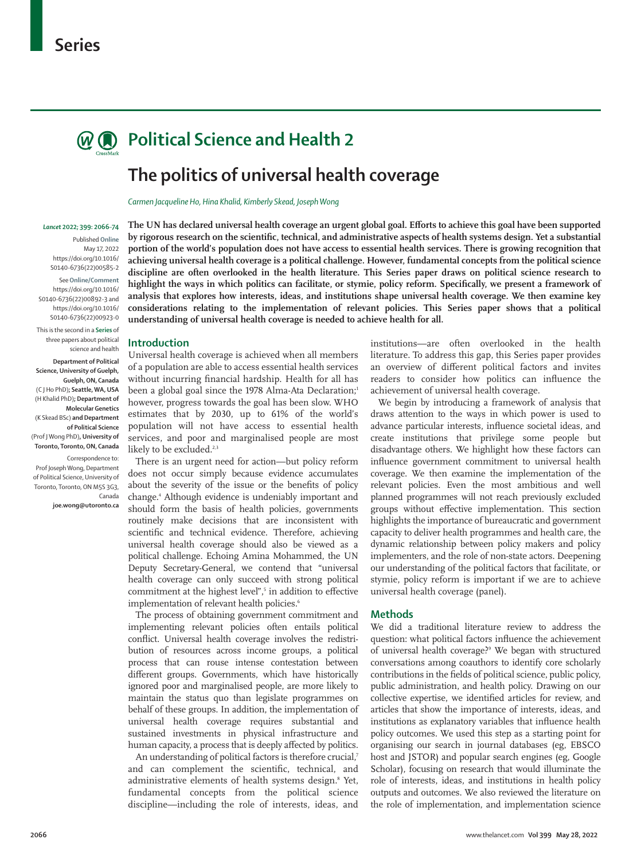

# **Political Science and Health 2**

# **The politics of universal health coverage**

*Carmen Jacqueline Ho, Hina Khalid, Kimberly Skead, Joseph Wong*

#### *Lancet* **2022; 399: 2066**–**74**

Published **Online** May 17, 2022 https://doi.org/10.1016/ S0140-6736(22)00585-2

See**Online/Comment** https://doi.org/10.1016/ S0140-6736(22)00892-3 and https://doi.org/10.1016/ S0140-6736(22)00923-0

This is the second in a **Series** of three papers about political science and health

**Department of Political Science, University of Guelph, Guelph, ON, Canada**  (C J Ho PhD)**; Seattle, WA, USA**  (H Khalid PhD)**; Department of Molecular Genetics** (K Skead BSc) **and Department of Political Science** (Prof J Wong PhD)**, University of Toronto, Toronto, ON, Canada**

Correspondence to: Prof Joseph Wong, Department of Political Science, University of Toronto, Toronto, ON M5S 3G3, Canada

**joe.wong@utoronto.ca**

**The UN has declared universal health coverage an urgent global goal. Efforts to achieve this goal have been supported by rigorous research on the scientific, technical, and administrative aspects of health systems design. Yet a substantial portion of the world's population does not have access to essential health services. There is growing recognition that achieving universal health coverage is a political challenge. However, fundamental concepts from the political science discipline are often overlooked in the health literature. This Series paper draws on political science research to highlight the ways in which politics can facilitate, or stymie, policy reform. Specifically, we present a framework of analysis that explores how interests, ideas, and institutions shape universal health coverage. We then examine key considerations relating to the implementation of relevant policies. This Series paper shows that a political understanding of universal health coverage is needed to achieve health for all.**

## **Introduction**

Universal health coverage is achieved when all members of a population are able to access essential health services without incurring financial hardship. Health for all has been a global goal since the 1978 Alma-Ata Declaration;<sup>1</sup> however, progress towards the goal has been slow. WHO estimates that by 2030, up to 61% of the world's population will not have access to essential health services, and poor and marginalised people are most likely to be excluded.<sup>2,3</sup>

There is an urgent need for action—but policy reform does not occur simply because evidence accumulates about the severity of the issue or the benefits of policy change.4 Although evidence is undeniably important and should form the basis of health policies, governments routinely make decisions that are inconsistent with scientific and technical evidence. Therefore, achieving universal health coverage should also be viewed as a political challenge. Echoing Amina Mohammed, the UN Deputy Secretary-General, we contend that "universal health coverage can only succeed with strong political commitment at the highest level",<sup>5</sup> in addition to effective implementation of relevant health policies.<sup>6</sup>

The process of obtaining government commitment and implementing relevant policies often entails political conflict. Universal health coverage involves the redistribution of resources across income groups, a political process that can rouse intense contestation between different groups. Governments, which have historically ignored poor and marginalised people, are more likely to maintain the status quo than legislate programmes on behalf of these groups. In addition, the implementation of universal health coverage requires substantial and sustained investments in physical infrastructure and human capacity, a process that is deeply affected by politics.

An understanding of political factors is therefore crucial,7 and can complement the scientific, technical, and administrative elements of health systems design.<sup>8</sup> Yet, fundamental concepts from the political science discipline—including the role of interests, ideas, and

institutions—are often overlooked in the health literature. To address this gap, this Series paper provides an overview of different political factors and invites readers to consider how politics can influence the achievement of universal health coverage.

We begin by introducing a framework of analysis that draws attention to the ways in which power is used to advance particular interests, influence societal ideas, and create institutions that privilege some people but disadvantage others. We highlight how these factors can influence government commitment to universal health coverage. We then examine the implementation of the relevant policies. Even the most ambitious and well planned programmes will not reach previously excluded groups without effective implementation. This section highlights the importance of bureaucratic and government capacity to deliver health programmes and health care, the dynamic relationship between policy makers and policy implementers, and the role of non-state actors. Deepening our understanding of the political factors that facilitate, or stymie, policy reform is important if we are to achieve universal health coverage (panel).

## **Methods**

We did a traditional literature review to address the question: what political factors influence the achievement of universal health coverage?9 We began with structured conversations among coauthors to identify core scholarly contributions in the fields of political science, public policy, public administration, and health policy. Drawing on our collective expertise, we identified articles for review, and articles that show the importance of interests, ideas, and institutions as explanatory variables that influence health policy outcomes. We used this step as a starting point for organising our search in journal databases (eg, EBSCO host and JSTOR) and popular search engines (eg, Google Scholar), focusing on research that would illuminate the role of interests, ideas, and institutions in health policy outputs and outcomes. We also reviewed the literature on the role of implementation, and implementation science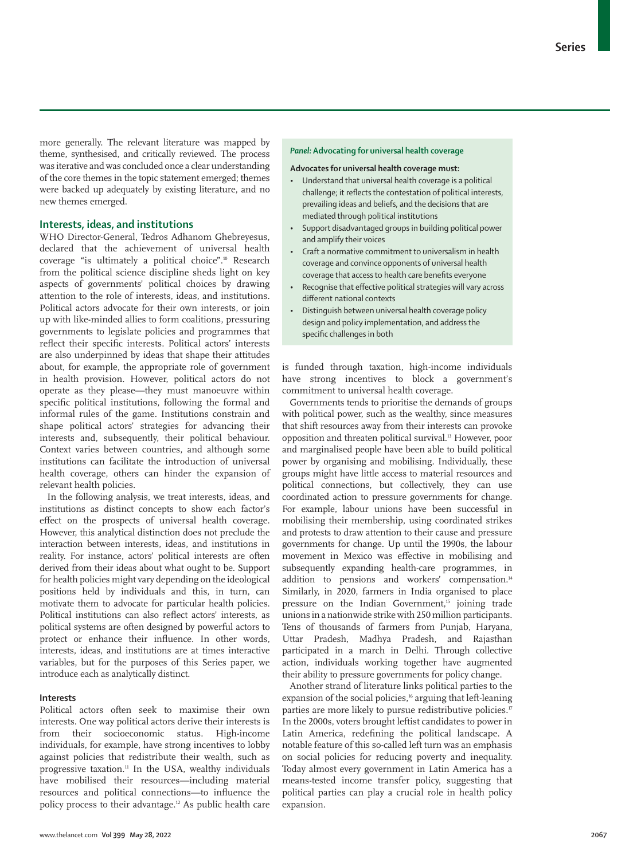more generally. The relevant literature was mapped by theme, synthesised, and critically reviewed. The process was iterative and was concluded once a clear understanding of the core themes in the topic statement emerged; themes were backed up adequately by existing literature, and no new themes emerged.

# **Interests, ideas, and institutions**

WHO Director-General, Tedros Adhanom Ghebreyesus, declared that the achievement of universal health coverage "is ultimately a political choice".10 Research from the political science discipline sheds light on key aspects of governments' political choices by drawing attention to the role of interests, ideas, and institutions. Political actors advocate for their own interests, or join up with like-minded allies to form coalitions, pressuring governments to legislate policies and programmes that reflect their specific interests. Political actors' interests are also underpinned by ideas that shape their attitudes about, for example, the appropriate role of government in health provision. However, political actors do not operate as they please—they must manoeuvre within specific political institutions, following the formal and informal rules of the game. Institutions constrain and shape political actors' strategies for advancing their interests and, subsequently, their political behaviour. Context varies between countries, and although some institutions can facilitate the introduction of universal health coverage, others can hinder the expansion of relevant health policies.

In the following analysis, we treat interests, ideas, and institutions as distinct concepts to show each factor's effect on the prospects of universal health coverage. However, this analytical distinction does not preclude the interaction between interests, ideas, and institutions in reality. For instance, actors' political interests are often derived from their ideas about what ought to be. Support for health policies might vary depending on the ideological positions held by individuals and this, in turn, can motivate them to advocate for particular health policies. Political institutions can also reflect actors' interests, as political systems are often designed by powerful actors to protect or enhance their influence. In other words, interests, ideas, and institutions are at times interactive variables, but for the purposes of this Series paper, we introduce each as analytically distinct.

## **Interests**

Political actors often seek to maximise their own interests. One way political actors derive their interests is from their socioeconomic status. High-income individuals, for example, have strong incentives to lobby against policies that redistribute their wealth, such as progressive taxation.11 In the USA, wealthy individuals have mobilised their resources—including material resources and political connections—to influence the policy process to their advantage.12 As public health care

## *Panel:* **Advocating for universal health coverage**

**Advocates for universal health coverage must:**

- Understand that universal health coverage is a political challenge; it reflects the contestation of political interests, prevailing ideas and beliefs, and the decisions that are mediated through political institutions
- Support disadvantaged groups in building political power and amplify their voices
- Craft a normative commitment to universalism in health coverage and convince opponents of universal health coverage that access to health care benefits everyone
- Recognise that effective political strategies will vary across different national contexts
- Distinguish between universal health coverage policy design and policy implementation, and address the specific challenges in both

is funded through taxation, high-income individuals have strong incentives to block a government's commitment to universal health coverage.

Governments tends to prioritise the demands of groups with political power, such as the wealthy, since measures that shift resources away from their interests can provoke opposition and threaten political survival.13 However, poor and marginalised people have been able to build political power by organising and mobilising. Individually, these groups might have little access to material resources and political connections, but collectively, they can use coordinated action to pressure governments for change. For example, labour unions have been successful in mobilising their membership, using coordinated strikes and protests to draw attention to their cause and pressure governments for change. Up until the 1990s, the labour movement in Mexico was effective in mobilising and subsequently expanding health-care programmes, in addition to pensions and workers' compensation.<sup>14</sup> Similarly, in 2020, farmers in India organised to place pressure on the Indian Government,<sup>15</sup> joining trade unions in a nationwide strike with 250 million participants. Tens of thousands of farmers from Punjab, Haryana, Uttar Pradesh, Madhya Pradesh, and Rajasthan participated in a march in Delhi. Through collective action, individuals working together have augmented their ability to pressure governments for policy change.

Another strand of literature links political parties to the expansion of the social policies,<sup>16</sup> arguing that left-leaning parties are more likely to pursue redistributive policies.<sup>17</sup> In the 2000s, voters brought leftist candidates to power in Latin America, redefining the political landscape. A notable feature of this so-called left turn was an emphasis on social policies for reducing poverty and inequality. Today almost every government in Latin America has a means-tested income transfer policy, suggesting that political parties can play a crucial role in health policy expansion.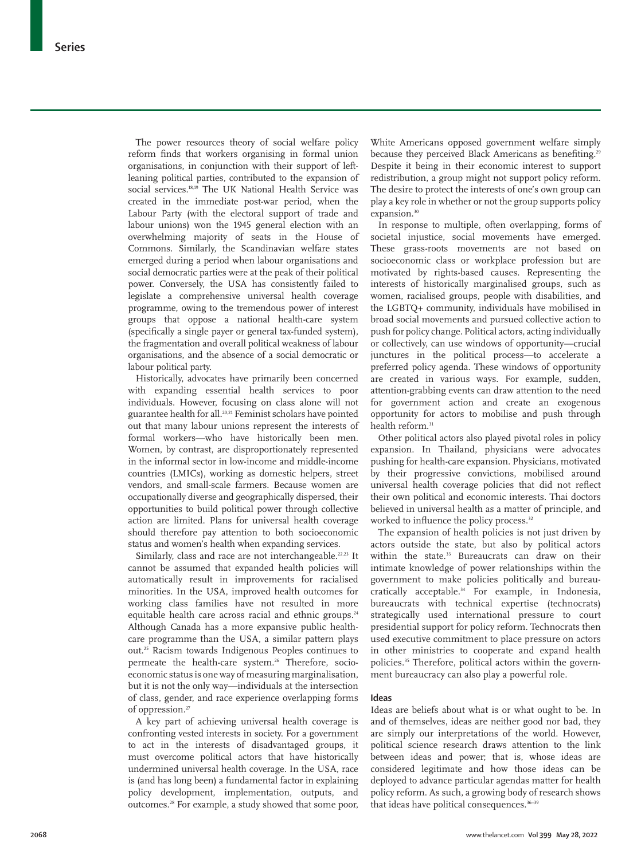The power resources theory of social welfare policy reform finds that workers organising in formal union organisations, in conjunction with their support of leftleaning political parties, contributed to the expansion of social services.18,19 The UK National Health Service was created in the immediate post-war period, when the Labour Party (with the electoral support of trade and labour unions) won the 1945 general election with an overwhelming majority of seats in the House of Commons. Similarly, the Scandinavian welfare states emerged during a period when labour organisations and social democratic parties were at the peak of their political power. Conversely, the USA has consistently failed to legislate a comprehensive universal health coverage programme, owing to the tremendous power of interest groups that oppose a national health-care system (specifically a single payer or general tax-funded system), the fragmentation and overall political weakness of labour organisations, and the absence of a social democratic or labour political party.

Historically, advocates have primarily been concerned with expanding essential health services to poor individuals. However, focusing on class alone will not guarantee health for all.20,21 Feminist scholars have pointed out that many labour unions represent the interests of formal workers—who have historically been men. Women, by contrast, are disproportionately represented in the informal sector in low-income and middle-income countries (LMICs), working as domestic helpers, street vendors, and small-scale farmers. Because women are occupationally diverse and geographically dispersed, their opportunities to build political power through collective action are limited. Plans for universal health coverage should therefore pay attention to both socioeconomic status and women's health when expanding services.

Similarly, class and race are not interchangeable.<sup>22,23</sup> It cannot be assumed that expanded health policies will automatically result in improvements for racialised minorities. In the USA, improved health outcomes for working class families have not resulted in more equitable health care across racial and ethnic groups.<sup>24</sup> Although Canada has a more expansive public healthcare programme than the USA, a similar pattern plays out.25 Racism towards Indigenous Peoples continues to permeate the health-care system.<sup>26</sup> Therefore, socioeconomic status is one way of measuring marginalisation, but it is not the only way—individuals at the intersection of class, gender, and race experience overlapping forms of oppression.<sup>27</sup>

A key part of achieving universal health coverage is confronting vested interests in society. For a government to act in the interests of disadvantaged groups, it must overcome political actors that have historically undermined universal health coverage. In the USA, race is (and has long been) a fundamental factor in explaining policy development, implementation, outputs, and outcomes.28 For example, a study showed that some poor,

White Americans opposed government welfare simply because they perceived Black Americans as benefiting.<sup>29</sup> Despite it being in their economic interest to support redistribution, a group might not support policy reform. The desire to protect the interests of one's own group can play a key role in whether or not the group supports policy expansion.<sup>30</sup>

In response to multiple, often overlapping, forms of societal injustice, social movements have emerged. These grass-roots movements are not based on socioeconomic class or workplace profession but are motivated by rights-based causes. Representing the interests of historically marginalised groups, such as women, racialised groups, people with disabilities, and the LGBTQ+ community, individuals have mobilised in broad social movements and pursued collective action to push for policy change. Political actors, acting individually or collectively, can use windows of opportunity—crucial junctures in the political process—to accelerate a preferred policy agenda. These windows of opportunity are created in various ways. For example, sudden, attention-grabbing events can draw attention to the need for government action and create an exogenous opportunity for actors to mobilise and push through health reform.<sup>31</sup>

Other political actors also played pivotal roles in policy expansion. In Thailand, physicians were advocates pushing for health-care expansion. Physicians, motivated by their progressive convictions, mobilised around universal health coverage policies that did not reflect their own political and economic interests. Thai doctors believed in universal health as a matter of principle, and worked to influence the policy process.<sup>32</sup>

The expansion of health policies is not just driven by actors outside the state, but also by political actors within the state.<sup>33</sup> Bureaucrats can draw on their intimate knowledge of power relationships within the government to make policies politically and bureaucratically acceptable.34 For example, in Indonesia, bureaucrats with technical expertise (technocrats) strategically used international pressure to court presidential support for policy reform. Technocrats then used executive commitment to place pressure on actors in other ministries to cooperate and expand health policies.35 Therefore, political actors within the government bureaucracy can also play a powerful role.

#### **Ideas**

Ideas are beliefs about what is or what ought to be. In and of themselves, ideas are neither good nor bad, they are simply our interpretations of the world. However, political science research draws attention to the link between ideas and power; that is, whose ideas are considered legitimate and how those ideas can be deployed to advance particular agendas matter for health policy reform. As such, a growing body of research shows that ideas have political consequences.<sup>36-39</sup>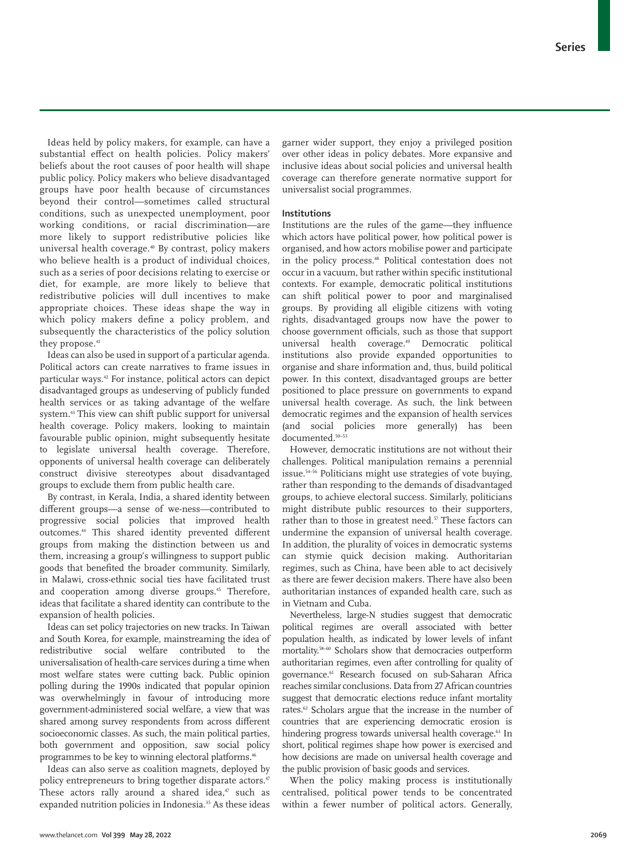Ideas held by policy makers, for example, can have a substantial effect on health policies. Policy makers' beliefs about the root causes of poor health will shape public policy. Policy makers who believe disadvantaged groups have poor health because of circumstances beyond their control—sometimes called structural conditions, such as unexpected unemployment, poor working conditions, or racial discrimination—are more likely to support redistributive policies like universal health coverage.40 By contrast, policy makers who believe health is a product of individual choices, such as a series of poor decisions relating to exercise or diet, for example, are more likely to believe that redistributive policies will dull incentives to make appropriate choices. These ideas shape the way in which policy makers define a policy problem, and subsequently the characteristics of the policy solution they propose.<sup>41</sup>

Ideas can also be used in support of a particular agenda. Political actors can create narratives to frame issues in particular ways.<sup>42</sup> For instance, political actors can depict disadvantaged groups as undeserving of publicly funded health services or as taking advantage of the welfare system.43 This view can shift public support for universal health coverage. Policy makers, looking to maintain favourable public opinion, might subsequently hesitate to legislate universal health coverage. Therefore, opponents of universal health coverage can deliberately construct divisive stereotypes about disadvantaged groups to exclude them from public health care.

By contrast, in Kerala, India, a shared identity between different groups—a sense of we-ness—contributed to progressive social policies that improved health outcomes.44 This shared identity prevented different groups from making the distinction between us and them, increasing a group's willingness to support public goods that benefited the broader community. Similarly, in Malawi, cross-ethnic social ties have facilitated trust and cooperation among diverse groups.<sup>45</sup> Therefore, ideas that facilitate a shared identity can contribute to the expansion of health policies.

Ideas can set policy trajectories on new tracks. In Taiwan and South Korea, for example, mainstreaming the idea of redistributive social welfare contributed to the universalisation of health-care services during a time when most welfare states were cutting back. Public opinion polling during the 1990s indicated that popular opinion was overwhelmingly in favour of introducing more government-administered social welfare, a view that was shared among survey respondents from across different socioeconomic classes. As such, the main political parties, both government and opposition, saw social policy programmes to be key to winning electoral platforms.<sup>46</sup>

Ideas can also serve as coalition magnets, deployed by policy entrepreneurs to bring together disparate actors.<sup>47</sup> These actors rally around a shared idea, $47$  such as expanded nutrition policies in Indonesia.<sup>35</sup> As these ideas garner wider support, they enjoy a privileged position over other ideas in policy debates. More expansive and inclusive ideas about social policies and universal health coverage can therefore generate normative support for universalist social programmes.

# **Institutions**

Institutions are the rules of the game—they influence which actors have political power, how political power is organised, and how actors mobilise power and participate in the policy process.<sup>48</sup> Political contestation does not occur in a vacuum, but rather within specific institutional contexts. For example, democratic political institutions can shift political power to poor and marginalised groups. By providing all eligible citizens with voting rights, disadvantaged groups now have the power to choose government officials, such as those that support universal health coverage.<sup>49</sup> Democratic political institutions also provide expanded opportunities to organise and share information and, thus, build political power. In this context, disadvantaged groups are better positioned to place pressure on governments to expand universal health coverage. As such, the link between democratic regimes and the expansion of health services (and social policies more generally) has been documented.<sup>50–53</sup>

However, democratic institutions are not without their challenges. Political manipulation remains a perennial issue.54–56 Politicians might use strategies of vote buying, rather than responding to the demands of disadvantaged groups, to achieve electoral success. Similarly, politicians might distribute public resources to their supporters, rather than to those in greatest need.<sup>57</sup> These factors can undermine the expansion of universal health coverage. In addition, the plurality of voices in democratic systems can stymie quick decision making. Authoritarian regimes, such as China, have been able to act decisively as there are fewer decision makers. There have also been authoritarian instances of expanded health care, such as in Vietnam and Cuba.

Nevertheless, large-N studies suggest that democratic political regimes are overall associated with better population health, as indicated by lower levels of infant mortality.58–60 Scholars show that democracies outperform authoritarian regimes, even after controlling for quality of governance.<sup>61</sup> Research focused on sub-Saharan Africa reaches similar conclusions. Data from 27 African countries suggest that democratic elections reduce infant mortality rates.62 Scholars argue that the increase in the number of countries that are experiencing democratic erosion is hindering progress towards universal health coverage.<sup>63</sup> In short, political regimes shape how power is exercised and how decisions are made on universal health coverage and the public provision of basic goods and services.

When the policy making process is institutionally centralised, political power tends to be concentrated within a fewer number of political actors. Generally,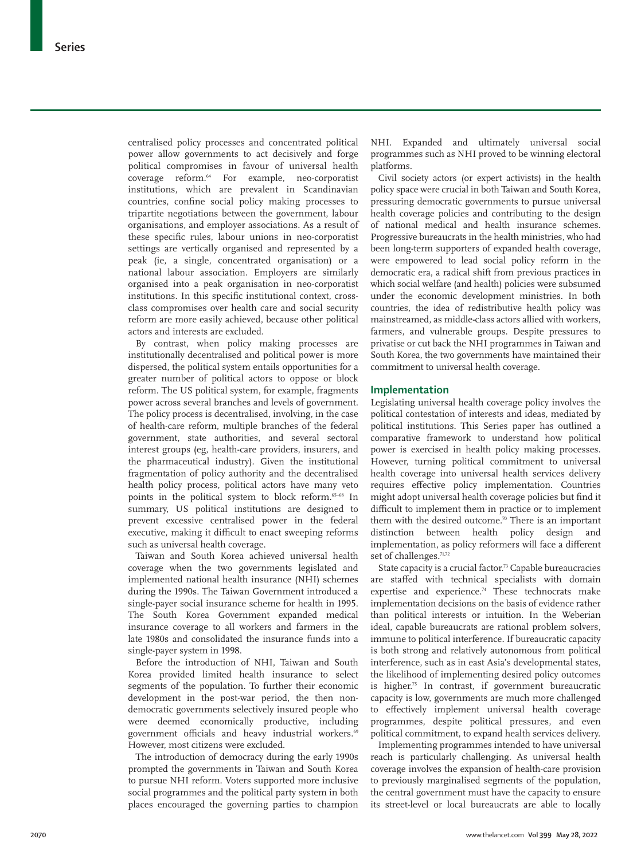centralised policy processes and concentrated political power allow governments to act decisively and forge political compromises in favour of universal health coverage reform.64 For example, neo-corporatist institutions, which are prevalent in Scandinavian countries, confine social policy making processes to tripartite negotiations between the government, labour organisations, and employer associations. As a result of these specific rules, labour unions in neo-corporatist settings are vertically organised and represented by a peak (ie, a single, concentrated organisation) or a national labour association. Employers are similarly organised into a peak organisation in neo-corporatist institutions. In this specific institutional context, crossclass compromises over health care and social security reform are more easily achieved, because other political actors and interests are excluded.

By contrast, when policy making processes are institutionally decentralised and political power is more dispersed, the political system entails opportunities for a greater number of political actors to oppose or block reform. The US political system, for example, fragments power across several branches and levels of government. The policy process is decentralised, involving, in the case of health-care reform, multiple branches of the federal government, state authorities, and several sectoral interest groups (eg, health-care providers, insurers, and the pharmaceutical industry). Given the institutional fragmentation of policy authority and the decentralised health policy process, political actors have many veto points in the political system to block reform.65–68 In summary, US political institutions are designed to prevent excessive centralised power in the federal executive, making it difficult to enact sweeping reforms such as universal health coverage.

Taiwan and South Korea achieved universal health coverage when the two governments legislated and implemented national health insurance (NHI) schemes during the 1990s. The Taiwan Government introduced a single-payer social insurance scheme for health in 1995. The South Korea Government expanded medical insurance coverage to all workers and farmers in the late 1980s and consolidated the insurance funds into a single-payer system in 1998.

Before the introduction of NHI, Taiwan and South Korea provided limited health insurance to select segments of the population. To further their economic development in the post-war period, the then nondemocratic governments selectively insured people who were deemed economically productive, including government officials and heavy industrial workers.<sup>69</sup> However, most citizens were excluded.

The introduction of democracy during the early 1990s prompted the governments in Taiwan and South Korea to pursue NHI reform. Voters supported more inclusive social programmes and the political party system in both places encouraged the governing parties to champion NHI. Expanded and ultimately universal social programmes such as NHI proved to be winning electoral platforms.

Civil society actors (or expert activists) in the health policy space were crucial in both Taiwan and South Korea, pressuring democratic governments to pursue universal health coverage policies and contributing to the design of national medical and health insurance schemes. Progressive bureaucrats in the health ministries, who had been long-term supporters of expanded health coverage, were empowered to lead social policy reform in the democratic era, a radical shift from previous practices in which social welfare (and health) policies were subsumed under the economic development ministries. In both countries, the idea of redistributive health policy was mainstreamed, as middle-class actors allied with workers, farmers, and vulnerable groups. Despite pressures to privatise or cut back the NHI programmes in Taiwan and South Korea, the two governments have maintained their commitment to universal health coverage.

## **Implementation**

Legislating universal health coverage policy involves the political contestation of interests and ideas, mediated by political institutions. This Series paper has outlined a comparative framework to understand how political power is exercised in health policy making processes. However, turning political commitment to universal health coverage into universal health services delivery requires effective policy implementation. Countries might adopt universal health coverage policies but find it difficult to implement them in practice or to implement them with the desired outcome.<sup>70</sup> There is an important distinction between health policy design and implementation, as policy reformers will face a different set of challenges.<sup>71,72</sup>

State capacity is a crucial factor.<sup>73</sup> Capable bureaucracies are staffed with technical specialists with domain expertise and experience.<sup>74</sup> These technocrats make implementation decisions on the basis of evidence rather than political interests or intuition. In the Weberian ideal, capable bureaucrats are rational problem solvers, immune to political interference. If bureaucratic capacity is both strong and relatively autonomous from political interference, such as in east Asia's developmental states, the likelihood of implementing desired policy outcomes is higher.<sup>75</sup> In contrast, if government bureaucratic capacity is low, governments are much more challenged to effectively implement universal health coverage programmes, despite political pressures, and even political commitment, to expand health services delivery.

Implementing programmes intended to have universal reach is particularly challenging. As universal health coverage involves the expansion of health-care provision to previously marginalised segments of the population, the central government must have the capacity to ensure its street-level or local bureaucrats are able to locally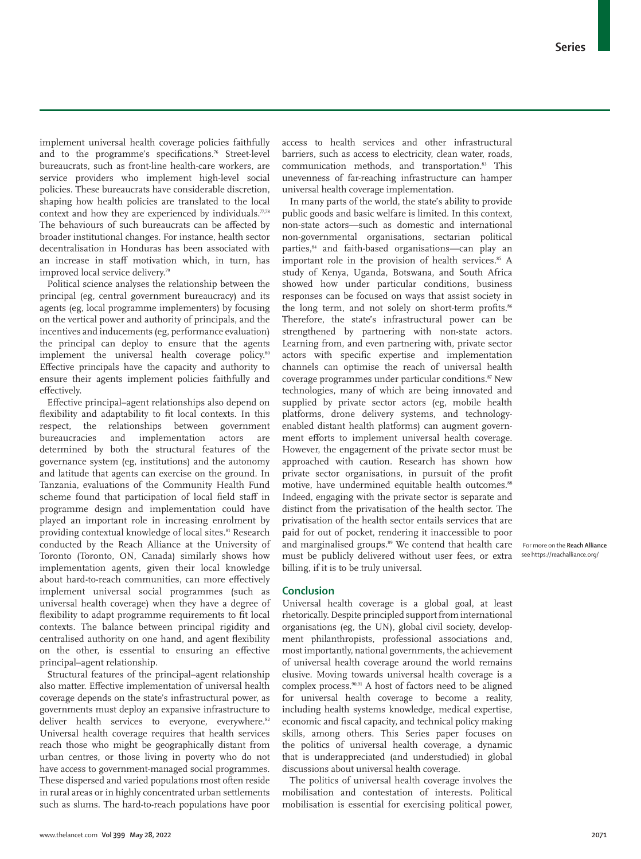implement universal health coverage policies faithfully and to the programme's specifications.<sup>76</sup> Street-level bureaucrats, such as front-line health-care workers, are service providers who implement high-level social policies. These bureaucrats have considerable discretion, shaping how health policies are translated to the local context and how they are experienced by individuals. $77.78$ The behaviours of such bureaucrats can be affected by broader institutional changes. For instance, health sector decentralisation in Honduras has been associated with an increase in staff motivation which, in turn, has improved local service delivery.<sup>79</sup>

Political science analyses the relationship between the principal (eg, central government bureaucracy) and its agents (eg, local programme implementers) by focusing on the vertical power and authority of principals, and the incentives and inducements (eg, performance evaluation) the principal can deploy to ensure that the agents implement the universal health coverage policy.<sup>80</sup> Effective principals have the capacity and authority to ensure their agents implement policies faithfully and effectively.

Effective principal–agent relationships also depend on flexibility and adaptability to fit local contexts. In this respect, the relationships between government bureaucracies and implementation actors are determined by both the structural features of the governance system (eg, institutions) and the autonomy and latitude that agents can exercise on the ground. In Tanzania, evaluations of the Community Health Fund scheme found that participation of local field staff in programme design and implementation could have played an important role in increasing enrolment by providing contextual knowledge of local sites.<sup>81</sup> Research conducted by the Reach Alliance at the University of Toronto (Toronto, ON, Canada) similarly shows how implementation agents, given their local knowledge about hard-to-reach communities, can more effectively implement universal social programmes (such as universal health coverage) when they have a degree of flexibility to adapt programme requirements to fit local contexts. The balance between principal rigidity and centralised authority on one hand, and agent flexibility on the other, is essential to ensuring an effective principal–agent relationship.

Structural features of the principal–agent relationship also matter. Effective implementation of universal health coverage depends on the state's infrastructural power, as governments must deploy an expansive infrastructure to deliver health services to everyone, everywhere.<sup>82</sup> Universal health coverage requires that health services reach those who might be geographically distant from urban centres, or those living in poverty who do not have access to government-managed social programmes. These dispersed and varied populations most often reside in rural areas or in highly concentrated urban settlements such as slums. The hard-to-reach populations have poor access to health services and other infrastructural barriers, such as access to electricity, clean water, roads, communication methods, and transportation.<sup>83</sup> This unevenness of far-reaching infrastructure can hamper universal health coverage implementation.

In many parts of the world, the state's ability to provide public goods and basic welfare is limited. In this context, non-state actors—such as domestic and international non-governmental organisations, sectarian political parties,84 and faith-based organisations—can play an important role in the provision of health services.<sup>85</sup> A study of Kenya, Uganda, Botswana, and South Africa showed how under particular conditions, business responses can be focused on ways that assist society in the long term, and not solely on short-term profits.<sup>86</sup> Therefore, the state's infrastructural power can be strengthened by partnering with non-state actors. Learning from, and even partnering with, private sector actors with specific expertise and implementation channels can optimise the reach of universal health coverage programmes under particular conditions.<sup>87</sup> New technologies, many of which are being innovated and supplied by private sector actors (eg, mobile health platforms, drone delivery systems, and technologyenabled distant health platforms) can augment government efforts to implement universal health coverage. However, the engagement of the private sector must be approached with caution. Research has shown how private sector organisations, in pursuit of the profit motive, have undermined equitable health outcomes.<sup>88</sup> Indeed, engaging with the private sector is separate and distinct from the privatisation of the health sector. The privatisation of the health sector entails services that are paid for out of pocket, rendering it inaccessible to poor and marginalised groups.<sup>89</sup> We contend that health care must be publicly delivered without user fees, or extra billing, if it is to be truly universal.

## **Conclusion**

Universal health coverage is a global goal, at least rhetorically. Despite principled support from international organisations (eg, the UN), global civil society, development philanthropists, professional associations and, most importantly, national governments, the achievement of universal health coverage around the world remains elusive. Moving towards universal health coverage is a complex process.90,91 A host of factors need to be aligned for universal health coverage to become a reality, including health systems knowledge, medical expertise, economic and fiscal capacity, and technical policy making skills, among others. This Series paper focuses on the politics of universal health coverage, a dynamic that is underappreciated (and understudied) in global discussions about universal health coverage.

The politics of universal health coverage involves the mobilisation and contestation of interests. Political mobilisation is essential for exercising political power,

 For more on the **Reach Alliance**  see https://reachalliance.org/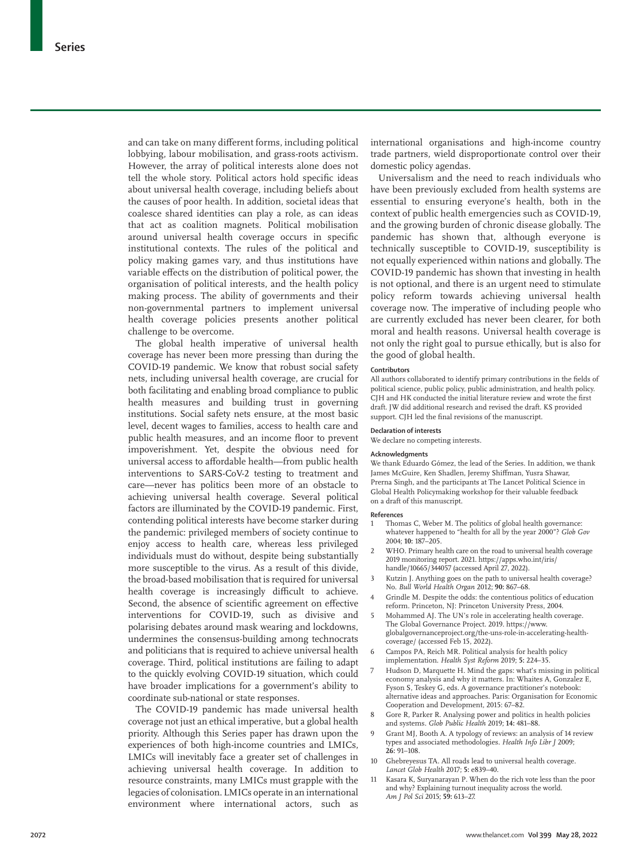and can take on many different forms, including political lobbying, labour mobilisation, and grass-roots activism. However, the array of political interests alone does not tell the whole story. Political actors hold specific ideas about universal health coverage, including beliefs about the causes of poor health. In addition, societal ideas that coalesce shared identities can play a role, as can ideas that act as coalition magnets. Political mobilisation around universal health coverage occurs in specific institutional contexts. The rules of the political and policy making games vary, and thus institutions have variable effects on the distribution of political power, the organisation of political interests, and the health policy making process. The ability of governments and their non-governmental partners to implement universal health coverage policies presents another political challenge to be overcome.

The global health imperative of universal health coverage has never been more pressing than during the COVID-19 pandemic. We know that robust social safety nets, including universal health coverage, are crucial for both facilitating and enabling broad compliance to public health measures and building trust in governing institutions. Social safety nets ensure, at the most basic level, decent wages to families, access to health care and public health measures, and an income floor to prevent impoverishment. Yet, despite the obvious need for universal access to affordable health—from public health interventions to SARS-CoV-2 testing to treatment and care—never has politics been more of an obstacle to achieving universal health coverage. Several political factors are illuminated by the COVID-19 pandemic. First, contending political interests have become starker during the pandemic: privileged members of society continue to enjoy access to health care, whereas less privileged individuals must do without, despite being substantially more susceptible to the virus. As a result of this divide, the broad-based mobilisation that is required for universal health coverage is increasingly difficult to achieve. Second, the absence of scientific agreement on effective interventions for COVID-19, such as divisive and polarising debates around mask wearing and lockdowns, undermines the consensus-building among technocrats and politicians that is required to achieve universal health coverage. Third, political institutions are failing to adapt to the quickly evolving COVID-19 situation, which could have broader implications for a government's ability to coordinate sub-national or state responses.

The COVID-19 pandemic has made universal health coverage not just an ethical imperative, but a global health priority. Although this Series paper has drawn upon the experiences of both high-income countries and LMICs, LMICs will inevitably face a greater set of challenges in achieving universal health coverage. In addition to resource constraints, many LMICs must grapple with the legacies of colonisation. LMICs operate in an international environment where international actors, such as international organisations and high-income country trade partners, wield disproportionate control over their domestic policy agendas.

Universalism and the need to reach individuals who have been previously excluded from health systems are essential to ensuring everyone's health, both in the context of public health emergencies such as COVID-19, and the growing burden of chronic disease globally. The pandemic has shown that, although everyone is technically susceptible to COVID-19, susceptibility is not equally experienced within nations and globally. The COVID-19 pandemic has shown that investing in health is not optional, and there is an urgent need to stimulate policy reform towards achieving universal health coverage now. The imperative of including people who are currently excluded has never been clearer, for both moral and health reasons. Universal health coverage is not only the right goal to pursue ethically, but is also for the good of global health.

#### **Contributors**

All authors collaborated to identify primary contributions in the fields of political science, public policy, public administration, and health policy. CJH and HK conducted the initial literature review and wrote the first draft. JW did additional research and revised the draft. KS provided support. CJH led the final revisions of the manuscript.

#### **Declaration of interests**

We declare no competing interests.

#### **Acknowledgments**

We thank Eduardo Gómez, the lead of the Series. In addition, we thank James McGuire, Ken Shadlen, Jeremy Shiffman, Yusra Shawar, Prerna Singh, and the participants at The Lancet Political Science in Global Health Policymaking workshop for their valuable feedback on a draft of this manuscript.

#### **References**

- Thomas C, Weber M. The politics of global health governance: whatever happened to "health for all by the year 2000"? *Glob Gov* 2004; **10:** 187–205.
- 2 WHO. Primary health care on the road to universal health coverage 2019 monitoring report. 2021. https://apps.who.int/iris/ handle/10665/344057 (accessed April 27, 2022).
- 3 Kutzin J. Anything goes on the path to universal health coverage? No. *Bull World Health Organ* 2012; **90:** 867–68.
- 4 Grindle M. Despite the odds: the contentious politics of education reform. Princeton, NJ: Princeton University Press, 2004.
- Mohammed AJ. The UN's role in accelerating health coverage. The Global Governance Project. 2019. https://www. globalgovernanceproject.org/the-uns-role-in-accelerating-healthcoverage/ (accessed Feb 15, 2022).
- 6 Campos PA, Reich MR. Political analysis for health policy implementation. *Health Syst Reform* 2019; **5:** 224–35.
- Hudson D, Marquette H. Mind the gaps: what's missing in political economy analysis and why it matters. In: Whaites A, Gonzalez E, Fyson S, Teskey G, eds. A governance practitioner's notebook: alternative ideas and approaches. Paris: Organisation for Economic Cooperation and Development, 2015: 67–82.
- 8 Gore R, Parker R. Analysing power and politics in health policies and systems. *Glob Public Health* 2019; **14:** 481–88.
- 9 Grant MJ, Booth A. A typology of reviews: an analysis of 14 review types and associated methodologies. *Health Info Libr J* 2009; **26:** 91–108.
- 10 Ghebreyesus TA. All roads lead to universal health coverage. *Lancet Glob Health* 2017; **5:** e839–40.
- 11 Kasara K, Suryanarayan P. When do the rich vote less than the poor and why? Explaining turnout inequality across the world. *Am J Pol Sci* 2015; **59:** 613–27.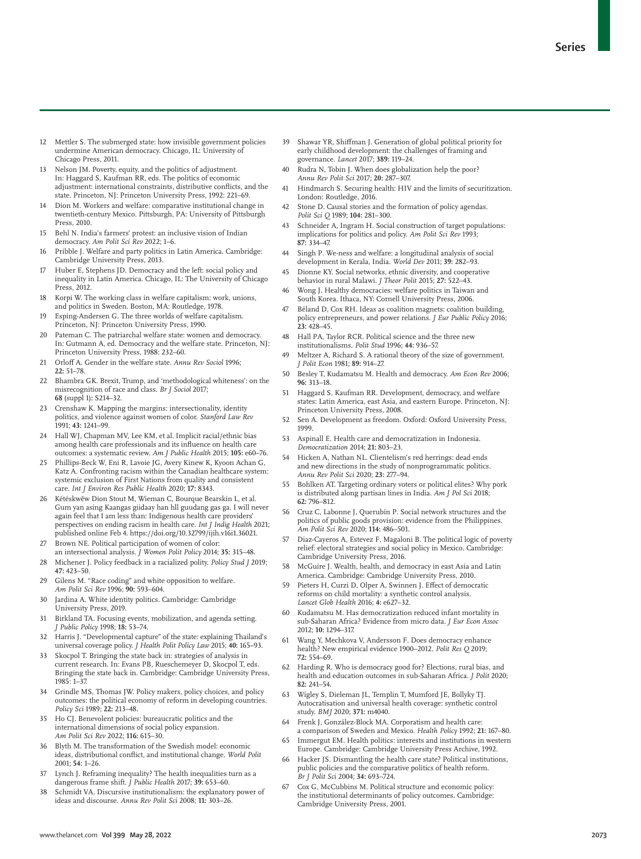- 12 Mettler S. The submerged state: how invisible government policies undermine American democracy. Chicago, IL: University of Chicago Press, 2011.
- 13 Nelson JM. Poverty, equity, and the politics of adjustment. In: Haggard S, Kaufman RR, eds. The politics of economic adjustment: international constraints, distributive conflicts, and the state. Princeton, NJ: Princeton University Press, 1992: 221–69.
- Dion M. Workers and welfare: comparative institutional change in twentieth-century Mexico. Pittsburgh, PA: University of Pittsburgh Press, 2010.
- 15 Behl N. India's farmers' protest: an inclusive vision of Indian democracy. *Am Polit Sci Rev* 2022; 1–6.
- 16 Pribble J. Welfare and party politics in Latin America. Cambridge: Cambridge University Press, 2013.
- 17 Huber E, Stephens JD. Democracy and the left: social policy and inequality in Latin America. Chicago, IL: The University of Chicago Press, 2012.
- 18 Korpi W. The working class in welfare capitalism: work, unions, and politics in Sweden. Boston, MA: Routledge, 1978.
- 19 Esping-Andersen G. The three worlds of welfare capitalism. Princeton, NJ: Princeton University Press, 1990.
- 20 Pateman C. The patriarchal welfare state: women and democracy. In: Gutmann A, ed. Democracy and the welfare state. Princeton, NJ: Princeton University Press, 1988: 232-60.
- 21 Orloff A. Gender in the welfare state. *Annu Rev Sociol* 1996; **22:** 51–78.
- 22 Bhambra GK. Brexit, Trump, and 'methodological whiteness': on the misrecognition of race and class. *Br J Sociol* 2017; **68** (suppl 1)**:** S214–32.
- Crenshaw K. Mapping the margins: intersectionality, identity politics, and violence against women of color. *Stanford Law Rev* 1991; **43:** 1241–99.
- 24 Hall WJ, Chapman MV, Lee KM, et al. Implicit racial/ethnic bias among health care professionals and its influence on health care outcomes: a systematic review. *Am J Public Health* 2015; **105:** e60–76.
- Phillips-Beck W, Eni R, Lavoie JG, Avery Kinew K, Kyoon Achan G, Katz A. Confronting racism within the Canadian healthcare system: systemic exclusion of First Nations from quality and consistent care. *Int J Environ Res Public Health* 2020; **17:** 8343.
- 26 Kétéskwēw Dion Stout M, Wieman C, Bourque Bearskin L, et al. Gum yan asing Kaangas giidaay han hll guudang gas ga. I will never again feel that I am less than: Indigenous health care providers' perspectives on ending racism in health care. *Int J Indig Health* 2021; published online Feb 4. https://doi.org/10.32799/ijih.v16i1.36021.
- Brown NE. Political participation of women of color an intersectional analysis. *J Women Polit Policy* 2014; **35:** 315–48.
- 28 Michener J. Policy feedback in a racialized polity. *Policy Stud J* 2019; **47:** 423–50.
- 29 Gilens M. "Race coding" and white opposition to welfare. *Am Polit Sci Rev* 1996; **90:** 593–604.
- 30 Jardina A. White identity politics. Cambridge: Cambridge University Press, 2019.
- 31 Birkland TA. Focusing events, mobilization, and agenda setting. *J Public Policy* 1998; **18:** 53–74.
- 32 Harris J. "Developmental capture" of the state: explaining Thailand's universal coverage policy. *J Health Polit Policy Law* 2015; **40:** 165–93.
- 33 Skocpol T. Bringing the state back in: strategies of analysis in current research. In: Evans PB, Rueschemeyer D, Skocpol T, eds. Bringing the state back in. Cambridge: Cambridge University Press, 1985: 1–37.
- 34 Grindle MS, Thomas JW. Policy makers, policy choices, and policy outcomes: the political economy of reform in developing countries. *Policy Sci* 1989; **22:** 213–48.
- 35 Ho CJ. Benevolent policies: bureaucratic politics and the international dimensions of social policy expansion. *Am Polit Sci Rev* 2022; **116:** 615–30.
- 36 Blyth M. The transformation of the Swedish model: economic ideas, distributional conflict, and institutional change. *World Polit* 2001; **54:** 1–26.
- 37 Lynch J. Reframing inequality? The health inequalities turn as a dangerous frame shift. *J Public Health* 2017; **39:** 653–60.
- 38 Schmidt VA. Discursive institutionalism: the explanatory power of ideas and discourse. *Annu Rev Polit Sci* 2008; **11:** 303–26.
- 39 Shawar YR, Shiffman J. Generation of global political priority for early childhood development: the challenges of framing and governance. *Lancet* 2017; **389:** 119–24.
- 40 Rudra N, Tobin J. When does globalization help the poor? *Annu Rev Polit Sci* 2017; **20:** 287–307.
- Hindmarch S. Securing health: HIV and the limits of securitization. London: Routledge, 2016.
- 42 Stone D. Causal stories and the formation of policy agendas. *Polit Sci Q* 1989; **104:** 281–300.
- 43 Schneider A, Ingram H. Social construction of target populations: implications for politics and policy. *Am Polit Sci Rev* 1993; **87:** 334–47.
- 44 Singh P. We-ness and welfare: a longitudinal analysis of social development in Kerala, India. *World Dev* 2011; **39:** 282–93.
- 45 Dionne KY. Social networks, ethnic diversity, and cooperative behavior in rural Malawi. *J Theor Polit* 2015; **27:** 522–43.
- 46 Wong J. Healthy democracies: welfare politics in Taiwan and South Korea. Ithaca, NY: Cornell University Press, 2006.
- 47 Béland D, Cox RH. Ideas as coalition magnets: coalition building, policy entrepreneurs, and power relations. *J Eur Public Policy* 2016; **23:** 428–45.
- 48 Hall PA, Taylor RCR. Political science and the three new institutionalisms. *Polit Stud* 1996; **44:** 936–57.
- 49 Meltzer A, Richard S. A rational theory of the size of government. *J Polit Econ* 1981; **89:** 914–27.
- 50 Besley T, Kudamatsu M. Health and democracy. *Am Econ Rev* 2006; **96:** 313–18.
- 51 Haggard S, Kaufman RR. Development, democracy, and welfare states: Latin America, east Asia, and eastern Europe. Princeton, NJ: Princeton University Press, 2008.
- 52 Sen A. Development as freedom. Oxford: Oxford University Press, 1999.
- 53 Aspinall E. Health care and democratization in Indonesia. *Democratization* 2014; **21:** 803–23.
- Hicken A, Nathan NL. Clientelism's red herrings: dead ends and new directions in the study of nonprogrammatic politics. *Annu Rev Polit Sci* 2020; **23:** 277–94.
- 55 Bohlken AT. Targeting ordinary voters or political elites? Why pork is distributed along partisan lines in India. *Am J Pol Sci* 2018; **62:** 796–812.
- 56 Cruz C, Labonne J, Querubín P. Social network structures and the politics of public goods provision: evidence from the Philippines. *Am Polit Sci Rev* 2020; **114:** 486–501.
- 57 Diaz-Cayeros A, Estevez F, Magaloni B. The political logic of poverty relief: electoral strategies and social policy in Mexico. Cambridge: Cambridge University Press, 2016.
- 58 McGuire J. Wealth, health, and democracy in east Asia and Latin America. Cambridge: Cambridge University Press, 2010.
- 59 Pieters H, Curzi D, Olper A, Swinnen J. Effect of democratic reforms on child mortality: a synthetic control analysis. *Lancet Glob Health* 2016; **4:** e627–32.
- 60 Kudamatsu M. Has democratization reduced infant mortality in sub-Saharan Africa? Evidence from micro data. *J Eur Econ Assoc* 2012; **10:** 1294–317.
- 61 Wang Y, Mechkova V, Andersson F. Does democracy enhance health? New empirical evidence 1900–2012. *Polit Res Q* 2019; **72:** 554–69.
- 62 Harding R. Who is democracy good for? Elections, rural bias, and health and education outcomes in sub-Saharan Africa. *J Polit* 2020; **82:** 241–54.
- 63 Wigley S, Dieleman JL, Templin T, Mumford JE, Bollyky TJ. Autocratisation and universal health coverage: synthetic control study. *BMJ* 2020; **371:** m4040.
- 64 Frenk J, González-Block MA. Corporatism and health care: a comparison of Sweden and Mexico. *Health Policy* 1992; **21:** 167–80.
- 65 Immergut EM. Health politics: interests and institutions in western Europe. Cambridge: Cambridge University Press Archive, 1992.
- 66 Hacker JS. Dismantling the health care state? Political institutions, public policies and the comparative politics of health reform. *Br J Polit Sci* 2004; **34:** 693–724.
- Cox G, McCubbins M. Political structure and economic policy: the institutional determinants of policy outcomes. Cambridge: Cambridge University Press, 2001.